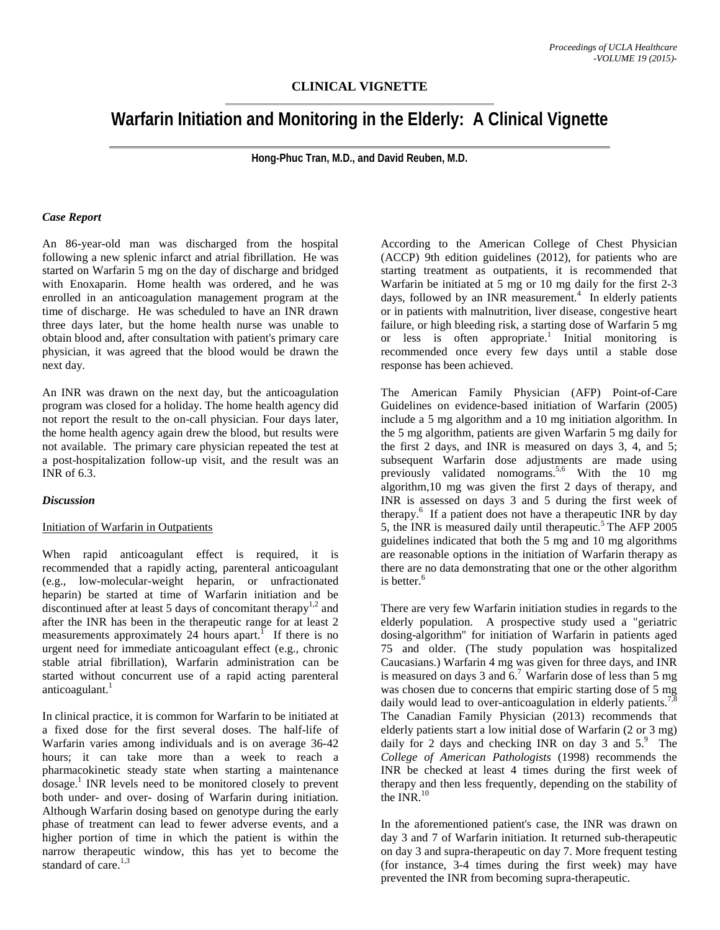## **CLINICAL VIGNETTE**

# **Warfarin Initiation and Monitoring in the Elderly: A Clinical Vignette**

**Hong-Phuc Tran, M.D., and David Reuben, M.D.**

#### *Case Report*

An 86-year-old man was discharged from the hospital following a new splenic infarct and atrial fibrillation. He was started on Warfarin 5 mg on the day of discharge and bridged with Enoxaparin. Home health was ordered, and he was enrolled in an anticoagulation management program at the time of discharge. He was scheduled to have an INR drawn three days later, but the home health nurse was unable to obtain blood and, after consultation with patient's primary care physician, it was agreed that the blood would be drawn the next day.

An INR was drawn on the next day, but the anticoagulation program was closed for a holiday. The home health agency did not report the result to the on-call physician. Four days later, the home health agency again drew the blood, but results were not available. The primary care physician repeated the test at a post-hospitalization follow-up visit, and the result was an INR of 6.3.

#### *Discussion*

#### Initiation of Warfarin in Outpatients

When rapid anticoagulant effect is required, it is recommended that a rapidly acting, parenteral anticoagulant (e.g., low-molecular-weight heparin, or unfractionated heparin) be started at time of Warfarin initiation and be discontinued after at least 5 days of concomitant therapy<sup>1,2</sup> and after the INR has been in the therapeutic range for at least 2 measurements approximately 24 hours apart.<sup>1</sup> If there is no urgent need for immediate anticoagulant effect (e.g., chronic stable atrial fibrillation), Warfarin administration can be started without concurrent use of a rapid acting parenteral anticoagulant. $<sup>1</sup>$ </sup>

In clinical practice, it is common for Warfarin to be initiated at a fixed dose for the first several doses. The half-life of Warfarin varies among individuals and is on average 36-42 hours; it can take more than a week to reach a pharmacokinetic steady state when starting a maintenance  $\omega$ dosage.<sup>1</sup> INR levels need to be monitored closely to prevent both under- and over- dosing of Warfarin during initiation. Although Warfarin dosing based on genotype during the early phase of treatment can lead to fewer adverse events, and a higher portion of time in which the patient is within the narrow therapeutic window, this has yet to become the standard of care. $1,3$ 

According to the American College of Chest Physician (ACCP) 9th edition guidelines (2012), for patients who are starting treatment as outpatients, it is recommended that Warfarin be initiated at 5 mg or 10 mg daily for the first 2-3 days, followed by an INR measurement. 4 In elderly patients or in patients with malnutrition, liver disease, congestive heart failure, or high bleeding risk, a starting dose of Warfarin 5 mg or less is often appropriate.<sup>1</sup> Initial monitoring is recommended once every few days until a stable dose response has been achieved.

The American Family Physician (AFP) Point-of-Care Guidelines on evidence-based initiation of Warfarin (2005) include a 5 mg algorithm and a 10 mg initiation algorithm. In the 5 mg algorithm, patients are given Warfarin 5 mg daily for the first 2 days, and INR is measured on days 3, 4, and 5; subsequent Warfarin dose adjustments are made using previously validated nomograms.<sup>5,6</sup> With the 10 mg algorithm,10 mg was given the first 2 days of therapy, and INR is assessed on days 3 and 5 during the first week of therapy.<sup>6</sup> If a patient does not have a therapeutic INR by day 5, the INR is measured daily until therapeutic.<sup>5</sup> The AFP  $2005$ guidelines indicated that both the 5 mg and 10 mg algorithms are reasonable options in the initiation of Warfarin therapy as there are no data demonstrating that one or the other algorithm is better.<sup>6</sup>

There are very few Warfarin initiation studies in regards to the elderly population. A prospective study used a "geriatric dosing-algorithm" for initiation of Warfarin in patients aged 75 and older. (The study population was hospitalized Caucasians.) Warfarin 4 mg was given for three days, and INR is measured on days 3 and  $6<sup>7</sup>$  Warfarin dose of less than 5 mg was chosen due to concerns that empiric starting dose of 5 mg daily would lead to over-anticoagulation in elderly patients.<sup>7,8</sup> The Canadian Family Physician (2013) recommends that elderly patients start a low initial dose of Warfarin (2 or 3 mg) daily for 2 days and checking INR on day 3 and  $5$ .<sup>9</sup> The *College of American Pathologists* (1998) recommends the INR be checked at least 4 times during the first week of therapy and then less frequently, depending on the stability of the INR $^{10}$ 

In the aforementioned patient's case, the INR was drawn on day 3 and 7 of Warfarin initiation. It returned sub-therapeutic on day 3 and supra-therapeutic on day 7. More frequent testing (for instance, 3-4 times during the first week) may have prevented the INR from becoming supra-therapeutic.